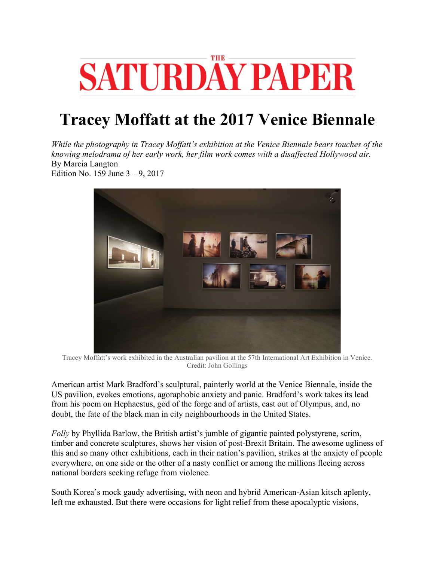

## **Tracey Moffatt at the 2017 Venice Biennale**

*While the photography in Tracey Moffatt's exhibition at the Venice Biennale bears touches of the knowing melodrama of her early work, her film work comes with a disaffected Hollywood air.*  By Marcia Langton Edition No. 159 June 3 – 9, 2017



Tracey Moffatt's work exhibited in the Australian pavilion at the 57th International Art Exhibition in Venice. Credit: John Gollings

American artist Mark Bradford's sculptural, painterly world at the Venice Biennale, inside the US pavilion, evokes emotions, agoraphobic anxiety and panic. Bradford's work takes its lead from his poem on Hephaestus, god of the forge and of artists, cast out of Olympus, and, no doubt, the fate of the black man in city neighbourhoods in the United States.

*Folly* by Phyllida Barlow, the British artist's jumble of gigantic painted polystyrene, scrim, timber and concrete sculptures, shows her vision of post-Brexit Britain. The awesome ugliness of this and so many other exhibitions, each in their nation's pavilion, strikes at the anxiety of people everywhere, on one side or the other of a nasty conflict or among the millions fleeing across national borders seeking refuge from violence.

South Korea's mock gaudy advertising, with neon and hybrid American-Asian kitsch aplenty, left me exhausted. But there were occasions for light relief from these apocalyptic visions,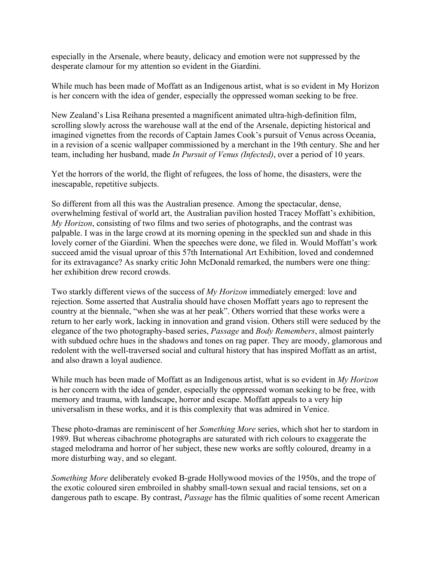especially in the Arsenale, where beauty, delicacy and emotion were not suppressed by the desperate clamour for my attention so evident in the Giardini.

While much has been made of Moffatt as an Indigenous artist, what is so evident in My Horizon is her concern with the idea of gender, especially the oppressed woman seeking to be free.

New Zealand's Lisa Reihana presented a magnificent animated ultra-high-definition film, scrolling slowly across the warehouse wall at the end of the Arsenale, depicting historical and imagined vignettes from the records of Captain James Cook's pursuit of Venus across Oceania, in a revision of a scenic wallpaper commissioned by a merchant in the 19th century. She and her team, including her husband, made *In Pursuit of Venus (Infected)*, over a period of 10 years.

Yet the horrors of the world, the flight of refugees, the loss of home, the disasters, were the inescapable, repetitive subjects.

So different from all this was the Australian presence. Among the spectacular, dense, overwhelming festival of world art, the Australian pavilion hosted Tracey Moffatt's exhibition, *My Horizon*, consisting of two films and two series of photographs, and the contrast was palpable. I was in the large crowd at its morning opening in the speckled sun and shade in this lovely corner of the Giardini. When the speeches were done, we filed in. Would Moffatt's work succeed amid the visual uproar of this 57th International Art Exhibition, loved and condemned for its extravagance? As snarky critic John McDonald remarked, the numbers were one thing: her exhibition drew record crowds.

Two starkly different views of the success of *My Horizon* immediately emerged: love and rejection. Some asserted that Australia should have chosen Moffatt years ago to represent the country at the biennale, "when she was at her peak". Others worried that these works were a return to her early work, lacking in innovation and grand vision. Others still were seduced by the elegance of the two photography-based series, *Passage* and *Body Remembers*, almost painterly with subdued ochre hues in the shadows and tones on rag paper. They are moody, glamorous and redolent with the well-traversed social and cultural history that has inspired Moffatt as an artist, and also drawn a loyal audience.

While much has been made of Moffatt as an Indigenous artist, what is so evident in *My Horizon*  is her concern with the idea of gender, especially the oppressed woman seeking to be free, with memory and trauma, with landscape, horror and escape. Moffatt appeals to a very hip universalism in these works, and it is this complexity that was admired in Venice.

These photo-dramas are reminiscent of her *Something More* series, which shot her to stardom in 1989. But whereas cibachrome photographs are saturated with rich colours to exaggerate the staged melodrama and horror of her subject, these new works are softly coloured, dreamy in a more disturbing way, and so elegant.

*Something More* deliberately evoked B-grade Hollywood movies of the 1950s, and the trope of the exotic coloured siren embroiled in shabby small-town sexual and racial tensions, set on a dangerous path to escape. By contrast, *Passage* has the filmic qualities of some recent American